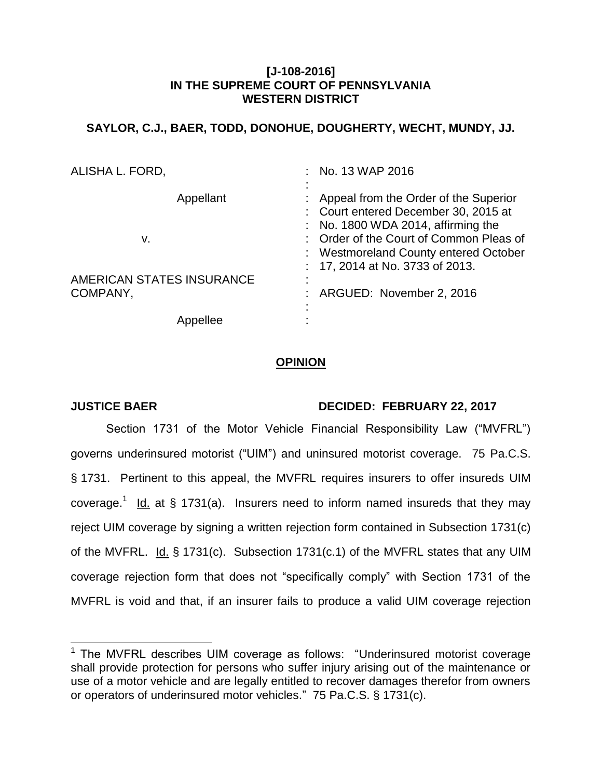# **[J-108-2016] IN THE SUPREME COURT OF PENNSYLVANIA WESTERN DISTRICT**

# **SAYLOR, C.J., BAER, TODD, DONOHUE, DOUGHERTY, WECHT, MUNDY, JJ.**

| ALISHA L. FORD,                       | No. 13 WAP 2016                                                                                                                |
|---------------------------------------|--------------------------------------------------------------------------------------------------------------------------------|
| Appellant                             | Appeal from the Order of the Superior<br>: Court entered December 30, 2015 at<br>$\therefore$ No. 1800 WDA 2014, affirming the |
| v.                                    | : Order of the Court of Common Pleas of<br>: Westmoreland County entered October<br>: 17, 2014 at No. 3733 of 2013.            |
| AMERICAN STATES INSURANCE<br>COMPANY, | ARGUED: November 2, 2016                                                                                                       |
|                                       |                                                                                                                                |

# **OPINION**

# **JUSTICE BAER DECIDED: FEBRUARY 22, 2017**

Section 1731 of the Motor Vehicle Financial Responsibility Law ("MVFRL") governs underinsured motorist ("UIM") and uninsured motorist coverage. 75 Pa.C.S. § 1731. Pertinent to this appeal, the MVFRL requires insurers to offer insureds UIM coverage.<sup>1</sup> Id. at § 1731(a). Insurers need to inform named insureds that they may reject UIM coverage by signing a written rejection form contained in Subsection 1731(c) of the MVFRL. Id. § 1731(c). Subsection 1731(c.1) of the MVFRL states that any UIM coverage rejection form that does not "specifically comply" with Section 1731 of the MVFRL is void and that, if an insurer fails to produce a valid UIM coverage rejection

THE MUTRE describes UIM coverage as follows: "Underinsured motorist coverage shall provide protection for persons who suffer injury arising out of the maintenance or use of a motor vehicle and are legally entitled to recover damages therefor from owners or operators of underinsured motor vehicles." 75 Pa.C.S. § 1731(c).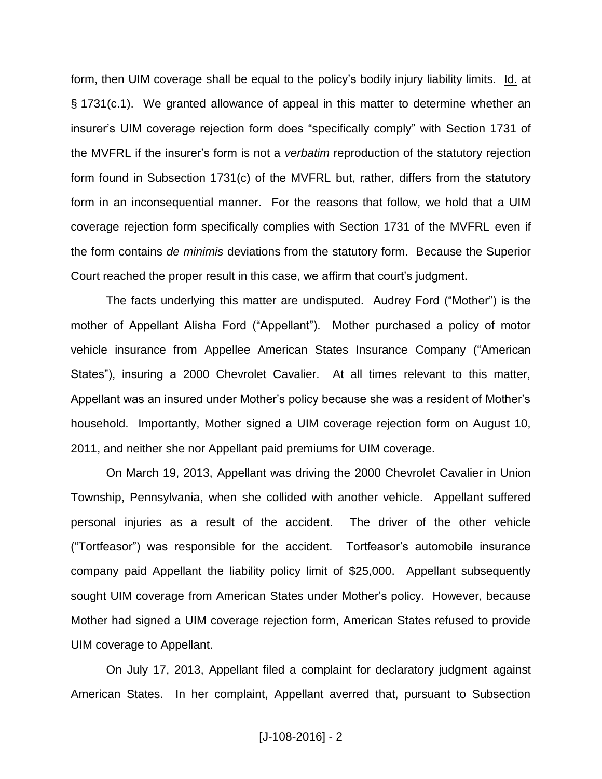form, then UIM coverage shall be equal to the policy's bodily injury liability limits. Id. at § 1731(c.1). We granted allowance of appeal in this matter to determine whether an insurer's UIM coverage rejection form does "specifically comply" with Section 1731 of the MVFRL if the insurer's form is not a *verbatim* reproduction of the statutory rejection form found in Subsection 1731(c) of the MVFRL but, rather, differs from the statutory form in an inconsequential manner. For the reasons that follow, we hold that a UIM coverage rejection form specifically complies with Section 1731 of the MVFRL even if the form contains *de minimis* deviations from the statutory form. Because the Superior Court reached the proper result in this case, we affirm that court's judgment.

The facts underlying this matter are undisputed. Audrey Ford ("Mother") is the mother of Appellant Alisha Ford ("Appellant"). Mother purchased a policy of motor vehicle insurance from Appellee American States Insurance Company ("American States"), insuring a 2000 Chevrolet Cavalier. At all times relevant to this matter, Appellant was an insured under Mother's policy because she was a resident of Mother's household. Importantly, Mother signed a UIM coverage rejection form on August 10, 2011, and neither she nor Appellant paid premiums for UIM coverage.

On March 19, 2013, Appellant was driving the 2000 Chevrolet Cavalier in Union Township, Pennsylvania, when she collided with another vehicle. Appellant suffered personal injuries as a result of the accident. The driver of the other vehicle ("Tortfeasor") was responsible for the accident. Tortfeasor's automobile insurance company paid Appellant the liability policy limit of \$25,000. Appellant subsequently sought UIM coverage from American States under Mother's policy. However, because Mother had signed a UIM coverage rejection form, American States refused to provide UIM coverage to Appellant.

On July 17, 2013, Appellant filed a complaint for declaratory judgment against American States. In her complaint, Appellant averred that, pursuant to Subsection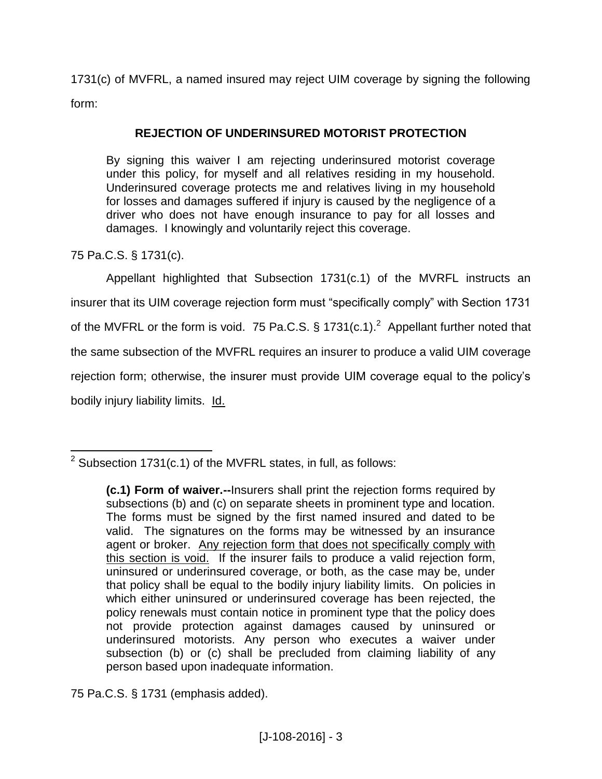1731(c) of MVFRL, a named insured may reject UIM coverage by signing the following form:

# **REJECTION OF UNDERINSURED MOTORIST PROTECTION**

By signing this waiver I am rejecting underinsured motorist coverage under this policy, for myself and all relatives residing in my household. Underinsured coverage protects me and relatives living in my household for losses and damages suffered if injury is caused by the negligence of a driver who does not have enough insurance to pay for all losses and damages. I knowingly and voluntarily reject this coverage.

75 Pa.C.S. § 1731(c).

Appellant highlighted that Subsection 1731(c.1) of the MVRFL instructs an insurer that its UIM coverage rejection form must "specifically comply" with Section 1731 of the MVFRL or the form is void. 75 Pa.C.S. § 1731(c.1).<sup>2</sup> Appellant further noted that the same subsection of the MVFRL requires an insurer to produce a valid UIM coverage rejection form; otherwise, the insurer must provide UIM coverage equal to the policy's bodily injury liability limits. Id.

75 Pa.C.S. § 1731 (emphasis added).

 $\overline{a}$ <sup>2</sup> Subsection 1731(c.1) of the MVFRL states, in full, as follows:

**<sup>(</sup>c.1) Form of waiver.--**Insurers shall print the rejection forms required by subsections (b) and (c) on separate sheets in prominent type and location. The forms must be signed by the first named insured and dated to be valid. The signatures on the forms may be witnessed by an insurance agent or broker. Any rejection form that does not specifically comply with this section is void. If the insurer fails to produce a valid rejection form, uninsured or underinsured coverage, or both, as the case may be, under that policy shall be equal to the bodily injury liability limits. On policies in which either uninsured or underinsured coverage has been rejected, the policy renewals must contain notice in prominent type that the policy does not provide protection against damages caused by uninsured or underinsured motorists. Any person who executes a waiver under subsection (b) or (c) shall be precluded from claiming liability of any person based upon inadequate information.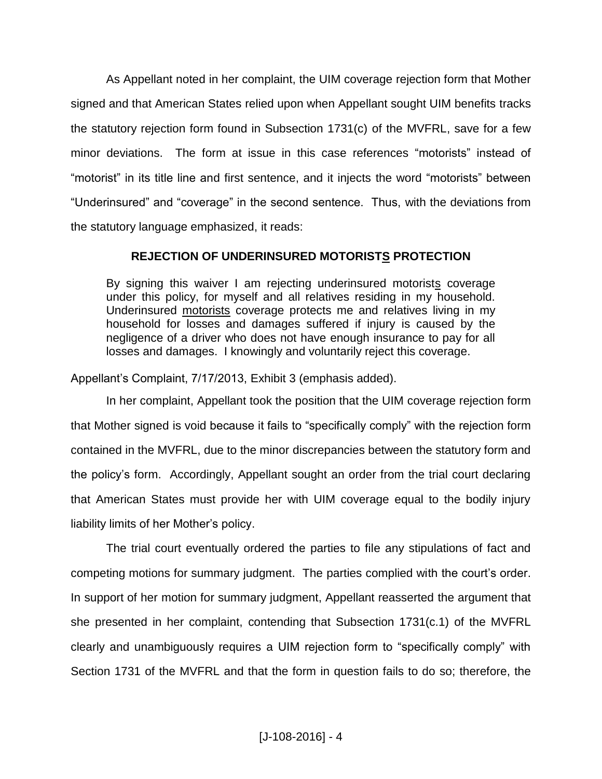As Appellant noted in her complaint, the UIM coverage rejection form that Mother signed and that American States relied upon when Appellant sought UIM benefits tracks the statutory rejection form found in Subsection 1731(c) of the MVFRL, save for a few minor deviations. The form at issue in this case references "motorists" instead of "motorist" in its title line and first sentence, and it injects the word "motorists" between "Underinsured" and "coverage" in the second sentence. Thus, with the deviations from the statutory language emphasized, it reads:

## **REJECTION OF UNDERINSURED MOTORISTS PROTECTION**

By signing this waiver I am rejecting underinsured motorists coverage under this policy, for myself and all relatives residing in my household. Underinsured motorists coverage protects me and relatives living in my household for losses and damages suffered if injury is caused by the negligence of a driver who does not have enough insurance to pay for all losses and damages. I knowingly and voluntarily reject this coverage.

Appellant's Complaint, 7/17/2013, Exhibit 3 (emphasis added).

In her complaint, Appellant took the position that the UIM coverage rejection form that Mother signed is void because it fails to "specifically comply" with the rejection form contained in the MVFRL, due to the minor discrepancies between the statutory form and the policy's form. Accordingly, Appellant sought an order from the trial court declaring that American States must provide her with UIM coverage equal to the bodily injury liability limits of her Mother's policy.

The trial court eventually ordered the parties to file any stipulations of fact and competing motions for summary judgment. The parties complied with the court's order. In support of her motion for summary judgment, Appellant reasserted the argument that she presented in her complaint, contending that Subsection 1731(c.1) of the MVFRL clearly and unambiguously requires a UIM rejection form to "specifically comply" with Section 1731 of the MVFRL and that the form in question fails to do so; therefore, the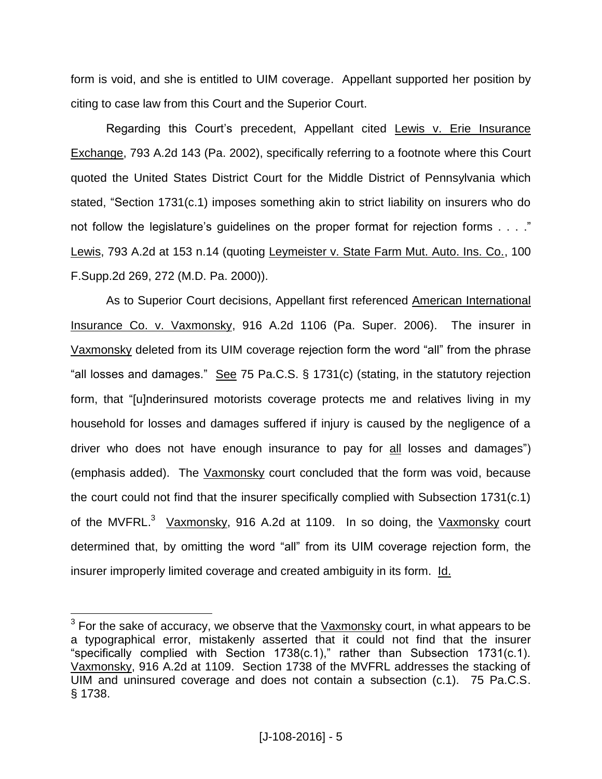form is void, and she is entitled to UIM coverage. Appellant supported her position by citing to case law from this Court and the Superior Court.

Regarding this Court's precedent, Appellant cited Lewis v. Erie Insurance Exchange, 793 A.2d 143 (Pa. 2002), specifically referring to a footnote where this Court quoted the United States District Court for the Middle District of Pennsylvania which stated, "Section 1731(c.1) imposes something akin to strict liability on insurers who do not follow the legislature's guidelines on the proper format for rejection forms . . . ." Lewis, 793 A.2d at 153 n.14 (quoting Leymeister v. State Farm Mut. Auto. Ins. Co., 100 F.Supp.2d 269, 272 (M.D. Pa. 2000)).

As to Superior Court decisions, Appellant first referenced American International Insurance Co. v. Vaxmonsky, 916 A.2d 1106 (Pa. Super. 2006). The insurer in Vaxmonsky deleted from its UIM coverage rejection form the word "all" from the phrase "all losses and damages." See 75 Pa.C.S. § 1731(c) (stating, in the statutory rejection form, that "[u]nderinsured motorists coverage protects me and relatives living in my household for losses and damages suffered if injury is caused by the negligence of a driver who does not have enough insurance to pay for all losses and damages") (emphasis added). The Vaxmonsky court concluded that the form was void, because the court could not find that the insurer specifically complied with Subsection 1731(c.1) of the MVFRL.<sup>3</sup> Vaxmonsky, 916 A.2d at 1109. In so doing, the Vaxmonsky court determined that, by omitting the word "all" from its UIM coverage rejection form, the insurer improperly limited coverage and created ambiguity in its form. Id.

 3 For the sake of accuracy, we observe that the Vaxmonsky court, in what appears to be a typographical error, mistakenly asserted that it could not find that the insurer "specifically complied with Section 1738(c.1)," rather than Subsection 1731(c.1). Vaxmonsky, 916 A.2d at 1109. Section 1738 of the MVFRL addresses the stacking of UIM and uninsured coverage and does not contain a subsection (c.1). 75 Pa.C.S. § 1738.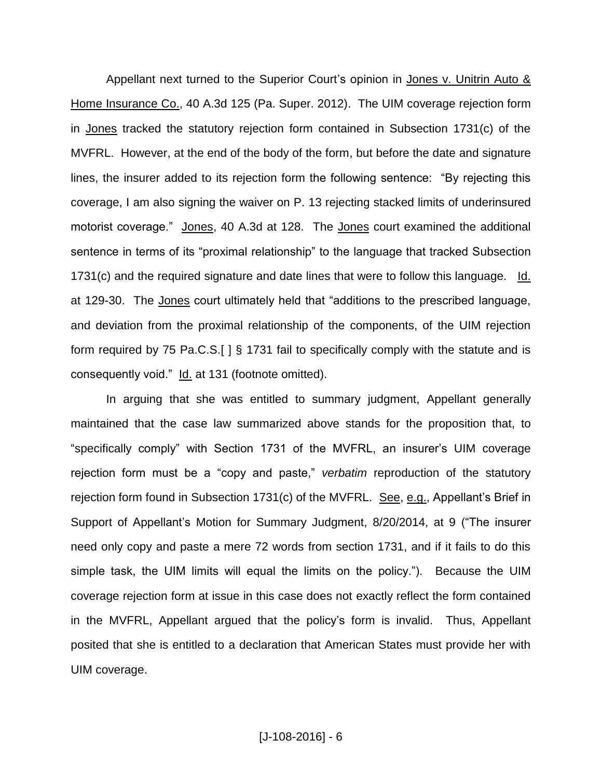Appellant next turned to the Superior Court's opinion in Jones v. Unitrin Auto & Home Insurance Co., 40 A.3d 125 (Pa. Super. 2012). The UIM coverage rejection form in Jones tracked the statutory rejection form contained in Subsection 1731(c) of the MVFRL. However, at the end of the body of the form, but before the date and signature lines, the insurer added to its rejection form the following sentence: "By rejecting this coverage, I am also signing the waiver on P. 13 rejecting stacked limits of underinsured motorist coverage." Jones, 40 A.3d at 128. The Jones court examined the additional sentence in terms of its "proximal relationship" to the language that tracked Subsection 1731(c) and the required signature and date lines that were to follow this language. Id. at 129-30. The Jones court ultimately held that "additions to the prescribed language, and deviation from the proximal relationship of the components, of the UIM rejection form required by 75 Pa.C.S.[ ] § 1731 fail to specifically comply with the statute and is consequently void." Id. at 131 (footnote omitted).

In arguing that she was entitled to summary judgment, Appellant generally maintained that the case law summarized above stands for the proposition that, to "specifically comply" with Section 1731 of the MVFRL, an insurer's UIM coverage rejection form must be a "copy and paste," *verbatim* reproduction of the statutory rejection form found in Subsection 1731(c) of the MVFRL. See, e.g., Appellant's Brief in Support of Appellant's Motion for Summary Judgment, 8/20/2014, at 9 ("The insurer need only copy and paste a mere 72 words from section 1731, and if it fails to do this simple task, the UIM limits will equal the limits on the policy."). Because the UIM coverage rejection form at issue in this case does not exactly reflect the form contained in the MVFRL, Appellant argued that the policy's form is invalid. Thus, Appellant posited that she is entitled to a declaration that American States must provide her with UIM coverage.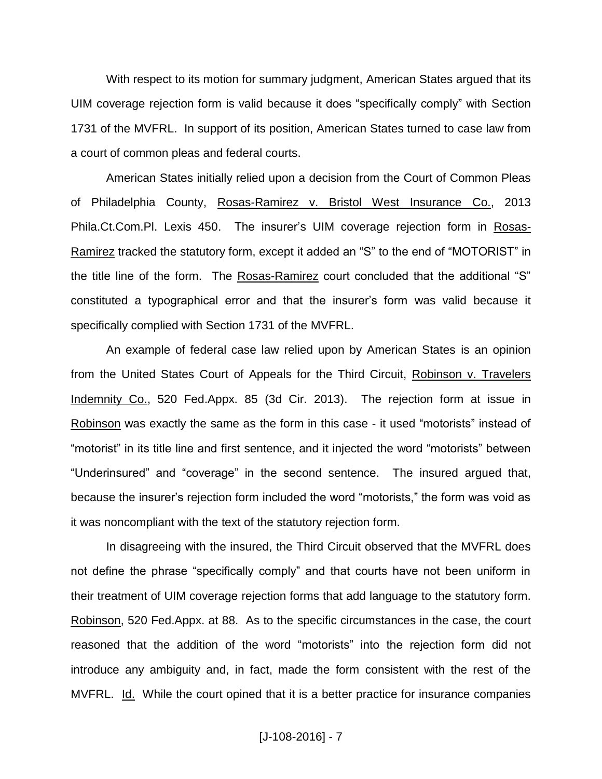With respect to its motion for summary judgment, American States argued that its UIM coverage rejection form is valid because it does "specifically comply" with Section 1731 of the MVFRL. In support of its position, American States turned to case law from a court of common pleas and federal courts.

American States initially relied upon a decision from the Court of Common Pleas of Philadelphia County, Rosas-Ramirez v. Bristol West Insurance Co., 2013 Phila.Ct.Com.Pl. Lexis 450. The insurer's UIM coverage rejection form in Rosas-Ramirez tracked the statutory form, except it added an "S" to the end of "MOTORIST" in the title line of the form. The Rosas-Ramirez court concluded that the additional "S" constituted a typographical error and that the insurer's form was valid because it specifically complied with Section 1731 of the MVFRL.

An example of federal case law relied upon by American States is an opinion from the United States Court of Appeals for the Third Circuit, Robinson v. Travelers Indemnity Co., 520 Fed.Appx. 85 (3d Cir. 2013). The rejection form at issue in Robinson was exactly the same as the form in this case - it used "motorists" instead of "motorist" in its title line and first sentence, and it injected the word "motorists" between "Underinsured" and "coverage" in the second sentence. The insured argued that, because the insurer's rejection form included the word "motorists," the form was void as it was noncompliant with the text of the statutory rejection form.

In disagreeing with the insured, the Third Circuit observed that the MVFRL does not define the phrase "specifically comply" and that courts have not been uniform in their treatment of UIM coverage rejection forms that add language to the statutory form. Robinson, 520 Fed.Appx. at 88. As to the specific circumstances in the case, the court reasoned that the addition of the word "motorists" into the rejection form did not introduce any ambiguity and, in fact, made the form consistent with the rest of the MVFRL. Id. While the court opined that it is a better practice for insurance companies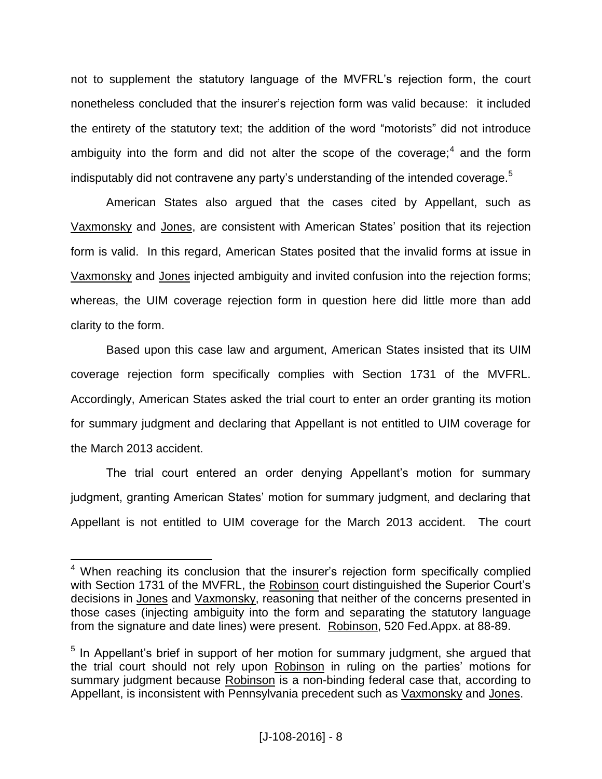not to supplement the statutory language of the MVFRL's rejection form, the court nonetheless concluded that the insurer's rejection form was valid because: it included the entirety of the statutory text; the addition of the word "motorists" did not introduce ambiguity into the form and did not alter the scope of the coverage;<sup>4</sup> and the form indisputably did not contravene any party's understanding of the intended coverage.<sup>5</sup>

American States also argued that the cases cited by Appellant, such as Vaxmonsky and Jones, are consistent with American States' position that its rejection form is valid. In this regard, American States posited that the invalid forms at issue in Vaxmonsky and Jones injected ambiguity and invited confusion into the rejection forms; whereas, the UIM coverage rejection form in question here did little more than add clarity to the form.

Based upon this case law and argument, American States insisted that its UIM coverage rejection form specifically complies with Section 1731 of the MVFRL. Accordingly, American States asked the trial court to enter an order granting its motion for summary judgment and declaring that Appellant is not entitled to UIM coverage for the March 2013 accident.

The trial court entered an order denying Appellant's motion for summary judgment, granting American States' motion for summary judgment, and declaring that Appellant is not entitled to UIM coverage for the March 2013 accident. The court

 $\overline{a}$ 

<sup>&</sup>lt;sup>4</sup> When reaching its conclusion that the insurer's rejection form specifically complied with Section 1731 of the MVFRL, the Robinson court distinguished the Superior Court's decisions in Jones and Vaxmonsky, reasoning that neither of the concerns presented in those cases (injecting ambiguity into the form and separating the statutory language from the signature and date lines) were present. Robinson, 520 Fed.Appx. at 88-89.

<sup>&</sup>lt;sup>5</sup> In Appellant's brief in support of her motion for summary judgment, she argued that the trial court should not rely upon Robinson in ruling on the parties' motions for summary judgment because Robinson is a non-binding federal case that, according to Appellant, is inconsistent with Pennsylvania precedent such as Vaxmonsky and Jones.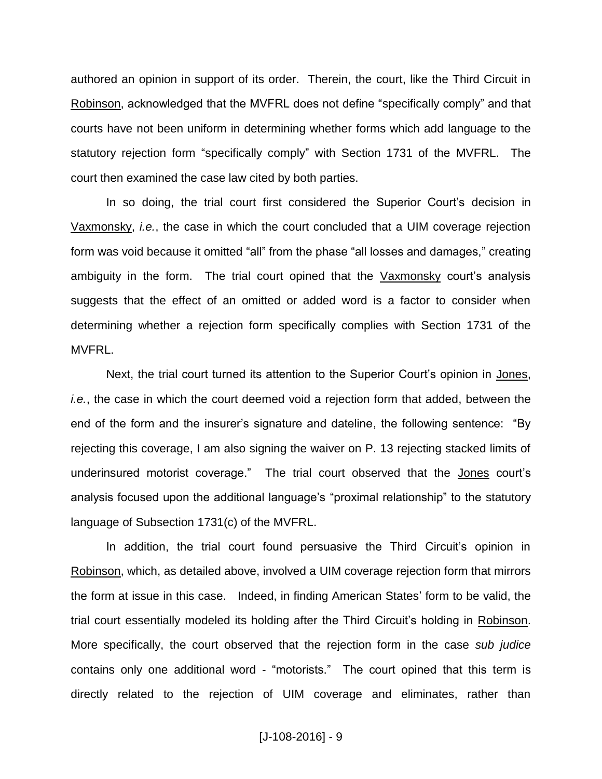authored an opinion in support of its order. Therein, the court, like the Third Circuit in Robinson, acknowledged that the MVFRL does not define "specifically comply" and that courts have not been uniform in determining whether forms which add language to the statutory rejection form "specifically comply" with Section 1731 of the MVFRL. The court then examined the case law cited by both parties.

In so doing, the trial court first considered the Superior Court's decision in Vaxmonsky, *i.e.*, the case in which the court concluded that a UIM coverage rejection form was void because it omitted "all" from the phase "all losses and damages," creating ambiguity in the form. The trial court opined that the Vaxmonsky court's analysis suggests that the effect of an omitted or added word is a factor to consider when determining whether a rejection form specifically complies with Section 1731 of the MVFRL.

Next, the trial court turned its attention to the Superior Court's opinion in Jones, *i.e.*, the case in which the court deemed void a rejection form that added, between the end of the form and the insurer's signature and dateline, the following sentence: "By rejecting this coverage, I am also signing the waiver on P. 13 rejecting stacked limits of underinsured motorist coverage." The trial court observed that the Jones court's analysis focused upon the additional language's "proximal relationship" to the statutory language of Subsection 1731(c) of the MVFRL.

In addition, the trial court found persuasive the Third Circuit's opinion in Robinson, which, as detailed above, involved a UIM coverage rejection form that mirrors the form at issue in this case. Indeed, in finding American States' form to be valid, the trial court essentially modeled its holding after the Third Circuit's holding in Robinson. More specifically, the court observed that the rejection form in the case *sub judice* contains only one additional word - "motorists." The court opined that this term is directly related to the rejection of UIM coverage and eliminates, rather than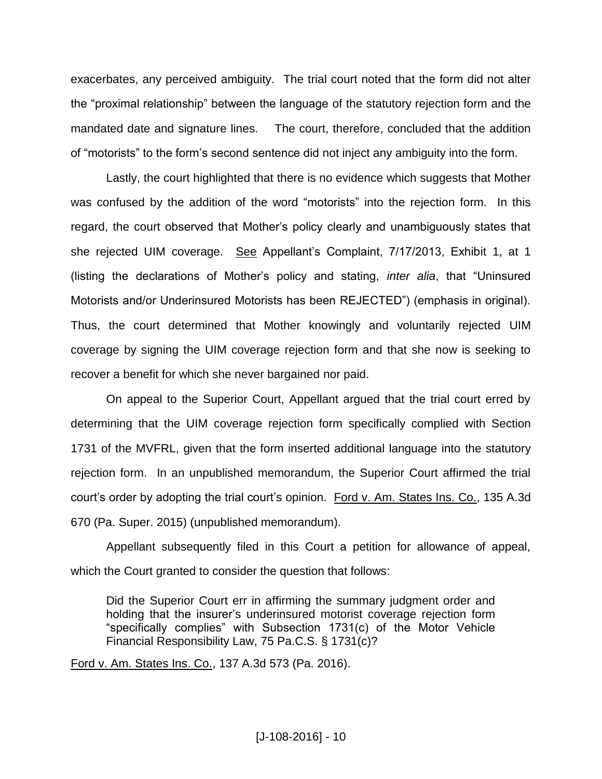exacerbates, any perceived ambiguity. The trial court noted that the form did not alter the "proximal relationship" between the language of the statutory rejection form and the mandated date and signature lines. The court, therefore, concluded that the addition of "motorists" to the form's second sentence did not inject any ambiguity into the form.

Lastly, the court highlighted that there is no evidence which suggests that Mother was confused by the addition of the word "motorists" into the rejection form. In this regard, the court observed that Mother's policy clearly and unambiguously states that she rejected UIM coverage. See Appellant's Complaint, 7/17/2013, Exhibit 1, at 1 (listing the declarations of Mother's policy and stating, *inter alia*, that "Uninsured Motorists and/or Underinsured Motorists has been REJECTED") (emphasis in original). Thus, the court determined that Mother knowingly and voluntarily rejected UIM coverage by signing the UIM coverage rejection form and that she now is seeking to recover a benefit for which she never bargained nor paid.

On appeal to the Superior Court, Appellant argued that the trial court erred by determining that the UIM coverage rejection form specifically complied with Section 1731 of the MVFRL, given that the form inserted additional language into the statutory rejection form. In an unpublished memorandum, the Superior Court affirmed the trial court's order by adopting the trial court's opinion. Ford v. Am. States Ins. Co., 135 A.3d 670 (Pa. Super. 2015) (unpublished memorandum).

Appellant subsequently filed in this Court a petition for allowance of appeal, which the Court granted to consider the question that follows:

Did the Superior Court err in affirming the summary judgment order and holding that the insurer's underinsured motorist coverage rejection form "specifically complies" with Subsection 1731(c) of the Motor Vehicle Financial Responsibility Law, 75 Pa.C.S. § 1731(c)?

Ford v. Am. States Ins. Co., 137 A.3d 573 (Pa. 2016).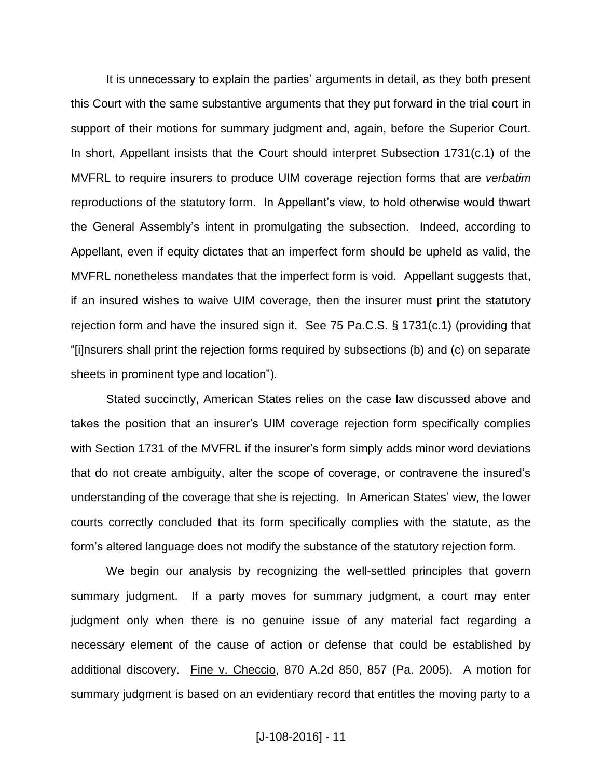It is unnecessary to explain the parties' arguments in detail, as they both present this Court with the same substantive arguments that they put forward in the trial court in support of their motions for summary judgment and, again, before the Superior Court. In short, Appellant insists that the Court should interpret Subsection 1731(c.1) of the MVFRL to require insurers to produce UIM coverage rejection forms that are *verbatim* reproductions of the statutory form. In Appellant's view, to hold otherwise would thwart the General Assembly's intent in promulgating the subsection. Indeed, according to Appellant, even if equity dictates that an imperfect form should be upheld as valid, the MVFRL nonetheless mandates that the imperfect form is void. Appellant suggests that, if an insured wishes to waive UIM coverage, then the insurer must print the statutory rejection form and have the insured sign it. See 75 Pa.C.S. § 1731(c.1) (providing that "[i]nsurers shall print the rejection forms required by subsections (b) and (c) on separate sheets in prominent type and location").

Stated succinctly, American States relies on the case law discussed above and takes the position that an insurer's UIM coverage rejection form specifically complies with Section 1731 of the MVFRL if the insurer's form simply adds minor word deviations that do not create ambiguity, alter the scope of coverage, or contravene the insured's understanding of the coverage that she is rejecting. In American States' view, the lower courts correctly concluded that its form specifically complies with the statute, as the form's altered language does not modify the substance of the statutory rejection form.

We begin our analysis by recognizing the well-settled principles that govern summary judgment. If a party moves for summary judgment, a court may enter judgment only when there is no genuine issue of any material fact regarding a necessary element of the cause of action or defense that could be established by additional discovery. Fine v. Checcio, 870 A.2d 850, 857 (Pa. 2005). A motion for summary judgment is based on an evidentiary record that entitles the moving party to a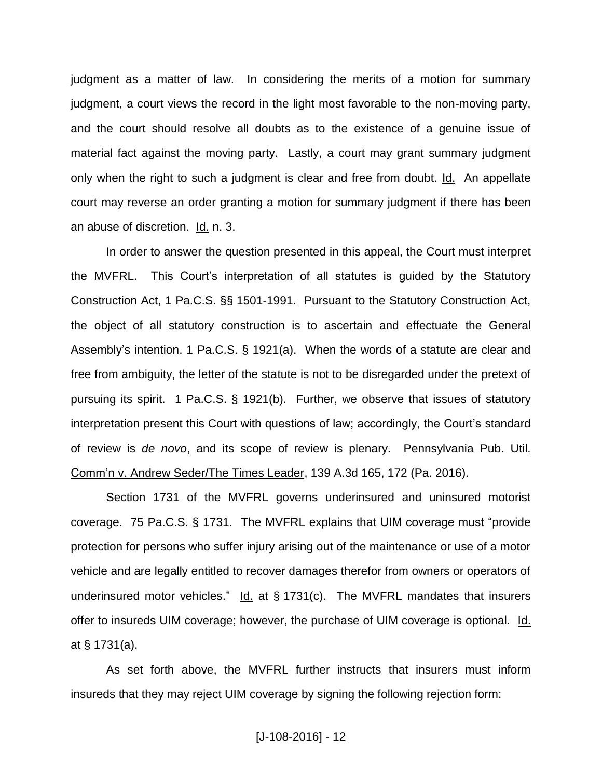judgment as a matter of law. In considering the merits of a motion for summary judgment, a court views the record in the light most favorable to the non-moving party, and the court should resolve all doubts as to the existence of a genuine issue of material fact against the moving party. Lastly, a court may grant summary judgment only when the right to such a judgment is clear and free from doubt. Id. An appellate court may reverse an order granting a motion for summary judgment if there has been an abuse of discretion. Id. n. 3.

In order to answer the question presented in this appeal, the Court must interpret the MVFRL. This Court's interpretation of all statutes is guided by the Statutory Construction Act, 1 Pa.C.S. §§ 1501-1991. Pursuant to the Statutory Construction Act, the object of all statutory construction is to ascertain and effectuate the General Assembly's intention. 1 Pa.C.S. § 1921(a). When the words of a statute are clear and free from ambiguity, the letter of the statute is not to be disregarded under the pretext of pursuing its spirit. 1 Pa.C.S. § 1921(b). Further, we observe that issues of statutory interpretation present this Court with questions of law; accordingly, the Court's standard of review is *de novo*, and its scope of review is plenary. Pennsylvania Pub. Util. Comm'n v. Andrew Seder/The Times Leader, 139 A.3d 165, 172 (Pa. 2016).

Section 1731 of the MVFRL governs underinsured and uninsured motorist coverage. 75 Pa.C.S. § 1731. The MVFRL explains that UIM coverage must "provide protection for persons who suffer injury arising out of the maintenance or use of a motor vehicle and are legally entitled to recover damages therefor from owners or operators of underinsured motor vehicles." Id. at § 1731(c). The MVFRL mandates that insurers offer to insureds UIM coverage; however, the purchase of UIM coverage is optional. Id. at § 1731(a).

As set forth above, the MVFRL further instructs that insurers must inform insureds that they may reject UIM coverage by signing the following rejection form: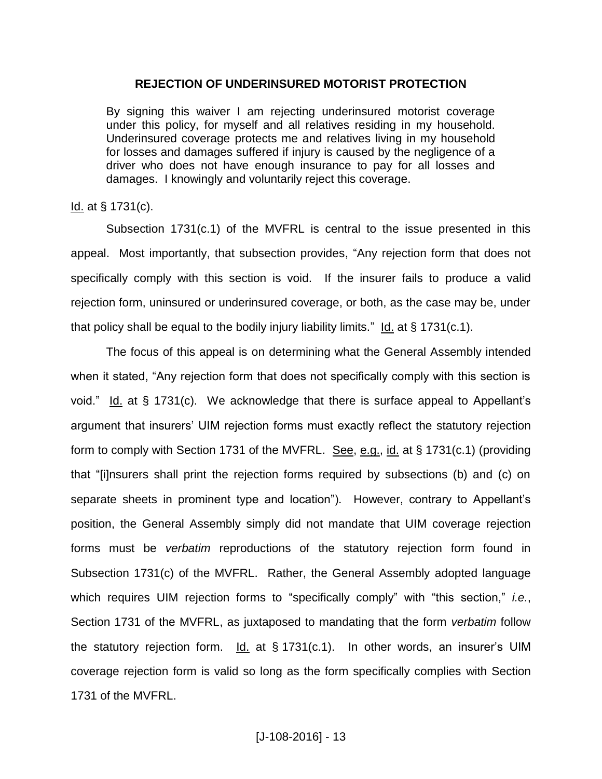### **REJECTION OF UNDERINSURED MOTORIST PROTECTION**

By signing this waiver I am rejecting underinsured motorist coverage under this policy, for myself and all relatives residing in my household. Underinsured coverage protects me and relatives living in my household for losses and damages suffered if injury is caused by the negligence of a driver who does not have enough insurance to pay for all losses and damages. I knowingly and voluntarily reject this coverage.

### Id. at § 1731(c).

Subsection 1731(c.1) of the MVFRL is central to the issue presented in this appeal. Most importantly, that subsection provides, "Any rejection form that does not specifically comply with this section is void. If the insurer fails to produce a valid rejection form, uninsured or underinsured coverage, or both, as the case may be, under that policy shall be equal to the bodily injury liability limits." Id. at  $\S$  1731(c.1).

The focus of this appeal is on determining what the General Assembly intended when it stated, "Any rejection form that does not specifically comply with this section is void." Id. at § 1731(c). We acknowledge that there is surface appeal to Appellant's argument that insurers' UIM rejection forms must exactly reflect the statutory rejection form to comply with Section 1731 of the MVFRL. See, e.g., id. at § 1731(c.1) (providing that "[i]nsurers shall print the rejection forms required by subsections (b) and (c) on separate sheets in prominent type and location"). However, contrary to Appellant's position, the General Assembly simply did not mandate that UIM coverage rejection forms must be *verbatim* reproductions of the statutory rejection form found in Subsection 1731(c) of the MVFRL. Rather, the General Assembly adopted language which requires UIM rejection forms to "specifically comply" with "this section," *i.e.*, Section 1731 of the MVFRL, as juxtaposed to mandating that the form *verbatim* follow the statutory rejection form. Id. at § 1731(c.1). In other words, an insurer's UIM coverage rejection form is valid so long as the form specifically complies with Section 1731 of the MVFRL.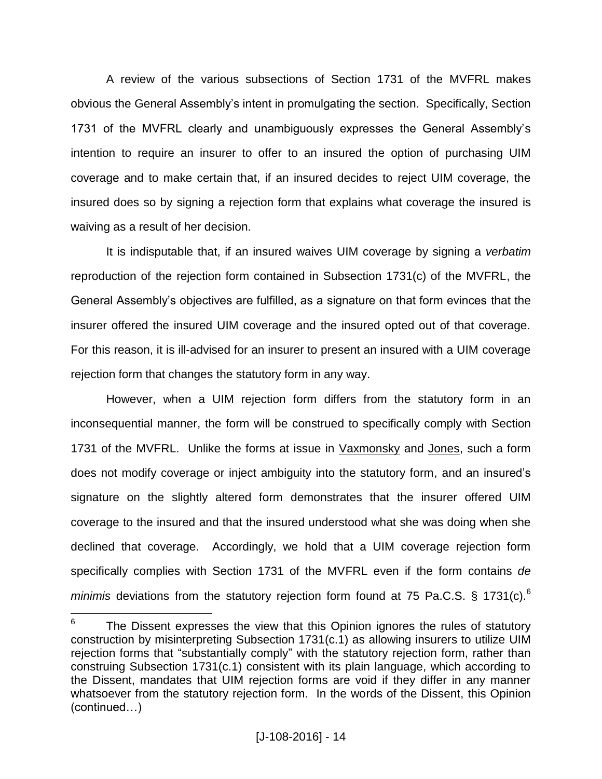A review of the various subsections of Section 1731 of the MVFRL makes obvious the General Assembly's intent in promulgating the section. Specifically, Section 1731 of the MVFRL clearly and unambiguously expresses the General Assembly's intention to require an insurer to offer to an insured the option of purchasing UIM coverage and to make certain that, if an insured decides to reject UIM coverage, the insured does so by signing a rejection form that explains what coverage the insured is waiving as a result of her decision.

It is indisputable that, if an insured waives UIM coverage by signing a *verbatim*  reproduction of the rejection form contained in Subsection 1731(c) of the MVFRL, the General Assembly's objectives are fulfilled, as a signature on that form evinces that the insurer offered the insured UIM coverage and the insured opted out of that coverage. For this reason, it is ill-advised for an insurer to present an insured with a UIM coverage rejection form that changes the statutory form in any way.

However, when a UIM rejection form differs from the statutory form in an inconsequential manner, the form will be construed to specifically comply with Section 1731 of the MVFRL. Unlike the forms at issue in Vaxmonsky and Jones, such a form does not modify coverage or inject ambiguity into the statutory form, and an insured's signature on the slightly altered form demonstrates that the insurer offered UIM coverage to the insured and that the insured understood what she was doing when she declined that coverage. Accordingly, we hold that a UIM coverage rejection form specifically complies with Section 1731 of the MVFRL even if the form contains *de minimis* deviations from the statutory rejection form found at 75 Pa.C.S. § 1731(c).<sup>6</sup>

 6 The Dissent expresses the view that this Opinion ignores the rules of statutory construction by misinterpreting Subsection 1731(c.1) as allowing insurers to utilize UIM rejection forms that "substantially comply" with the statutory rejection form, rather than construing Subsection 1731(c.1) consistent with its plain language, which according to the Dissent, mandates that UIM rejection forms are void if they differ in any manner whatsoever from the statutory rejection form. In the words of the Dissent, this Opinion (continued…)